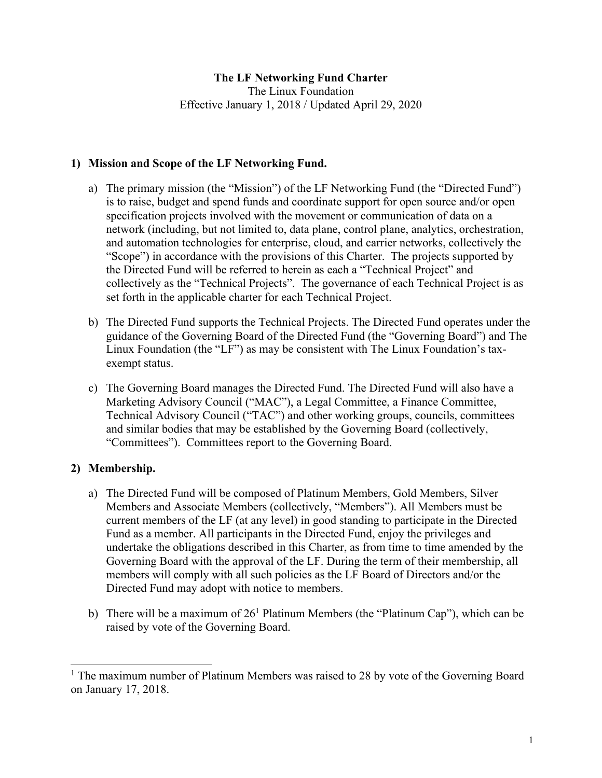### **The LF Networking Fund Charter**

The Linux Foundation Effective January 1, 2018 / Updated April 29, 2020

### **1) Mission and Scope of the LF Networking Fund.**

- a) The primary mission (the "Mission") of the LF Networking Fund (the "Directed Fund") is to raise, budget and spend funds and coordinate support for open source and/or open specification projects involved with the movement or communication of data on a network (including, but not limited to, data plane, control plane, analytics, orchestration, and automation technologies for enterprise, cloud, and carrier networks, collectively the "Scope") in accordance with the provisions of this Charter. The projects supported by the Directed Fund will be referred to herein as each a "Technical Project" and collectively as the "Technical Projects". The governance of each Technical Project is as set forth in the applicable charter for each Technical Project.
- b) The Directed Fund supports the Technical Projects. The Directed Fund operates under the guidance of the Governing Board of the Directed Fund (the "Governing Board") and The Linux Foundation (the "LF") as may be consistent with The Linux Foundation's taxexempt status.
- c) The Governing Board manages the Directed Fund. The Directed Fund will also have a Marketing Advisory Council ("MAC"), a Legal Committee, a Finance Committee, Technical Advisory Council ("TAC") and other working groups, councils, committees and similar bodies that may be established by the Governing Board (collectively, "Committees"). Committees report to the Governing Board.

# **2) Membership.**

- a) The Directed Fund will be composed of Platinum Members, Gold Members, Silver Members and Associate Members (collectively, "Members"). All Members must be current members of the LF (at any level) in good standing to participate in the Directed Fund as a member. All participants in the Directed Fund, enjoy the privileges and undertake the obligations described in this Charter, as from time to time amended by the Governing Board with the approval of the LF. During the term of their membership, all members will comply with all such policies as the LF Board of Directors and/or the Directed Fund may adopt with notice to members.
- b) There will be a maximum of  $26<sup>1</sup>$  Platinum Members (the "Platinum Cap"), which can be raised by vote of the Governing Board.

<sup>&</sup>lt;sup>1</sup> The maximum number of Platinum Members was raised to 28 by vote of the Governing Board on January 17, 2018.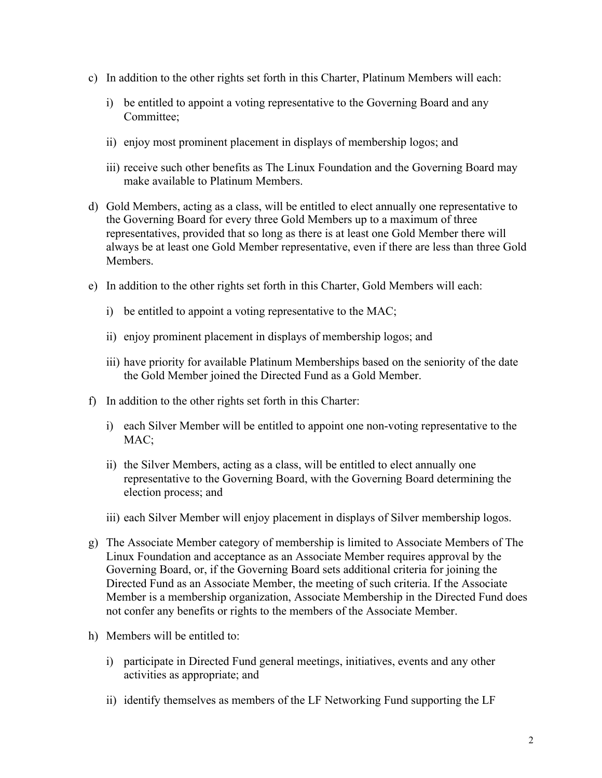- c) In addition to the other rights set forth in this Charter, Platinum Members will each:
	- i) be entitled to appoint a voting representative to the Governing Board and any Committee;
	- ii) enjoy most prominent placement in displays of membership logos; and
	- iii) receive such other benefits as The Linux Foundation and the Governing Board may make available to Platinum Members.
- d) Gold Members, acting as a class, will be entitled to elect annually one representative to the Governing Board for every three Gold Members up to a maximum of three representatives, provided that so long as there is at least one Gold Member there will always be at least one Gold Member representative, even if there are less than three Gold Members.
- e) In addition to the other rights set forth in this Charter, Gold Members will each:
	- i) be entitled to appoint a voting representative to the MAC;
	- ii) enjoy prominent placement in displays of membership logos; and
	- iii) have priority for available Platinum Memberships based on the seniority of the date the Gold Member joined the Directed Fund as a Gold Member.
- f) In addition to the other rights set forth in this Charter:
	- i) each Silver Member will be entitled to appoint one non-voting representative to the MAC:
	- ii) the Silver Members, acting as a class, will be entitled to elect annually one representative to the Governing Board, with the Governing Board determining the election process; and
	- iii) each Silver Member will enjoy placement in displays of Silver membership logos.
- g) The Associate Member category of membership is limited to Associate Members of The Linux Foundation and acceptance as an Associate Member requires approval by the Governing Board, or, if the Governing Board sets additional criteria for joining the Directed Fund as an Associate Member, the meeting of such criteria. If the Associate Member is a membership organization, Associate Membership in the Directed Fund does not confer any benefits or rights to the members of the Associate Member.
- h) Members will be entitled to:
	- i) participate in Directed Fund general meetings, initiatives, events and any other activities as appropriate; and
	- ii) identify themselves as members of the LF Networking Fund supporting the LF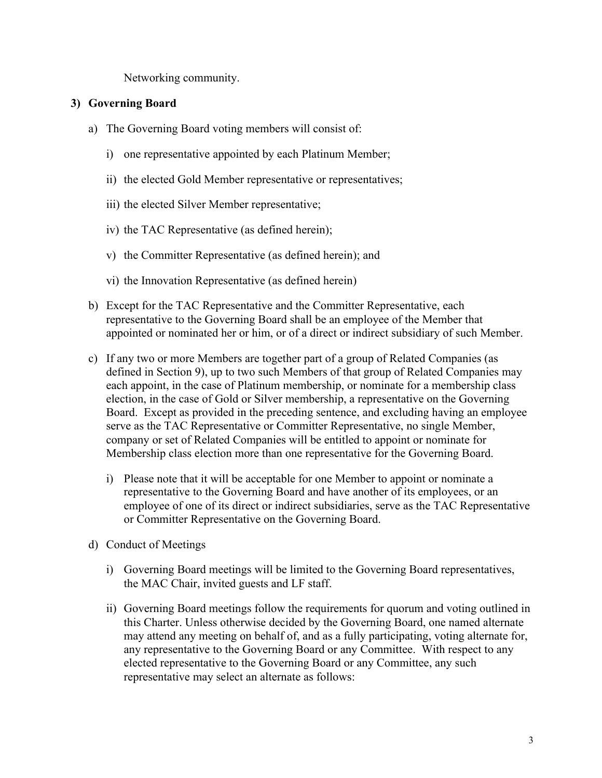Networking community.

#### **3) Governing Board**

- a) The Governing Board voting members will consist of:
	- i) one representative appointed by each Platinum Member;
	- ii) the elected Gold Member representative or representatives;
	- iii) the elected Silver Member representative;
	- iv) the TAC Representative (as defined herein);
	- v) the Committer Representative (as defined herein); and
	- vi) the Innovation Representative (as defined herein)
- b) Except for the TAC Representative and the Committer Representative, each representative to the Governing Board shall be an employee of the Member that appointed or nominated her or him, or of a direct or indirect subsidiary of such Member.
- c) If any two or more Members are together part of a group of Related Companies (as defined in Section 9), up to two such Members of that group of Related Companies may each appoint, in the case of Platinum membership, or nominate for a membership class election, in the case of Gold or Silver membership, a representative on the Governing Board. Except as provided in the preceding sentence, and excluding having an employee serve as the TAC Representative or Committer Representative, no single Member, company or set of Related Companies will be entitled to appoint or nominate for Membership class election more than one representative for the Governing Board.
	- i) Please note that it will be acceptable for one Member to appoint or nominate a representative to the Governing Board and have another of its employees, or an employee of one of its direct or indirect subsidiaries, serve as the TAC Representative or Committer Representative on the Governing Board.
- d) Conduct of Meetings
	- i) Governing Board meetings will be limited to the Governing Board representatives, the MAC Chair, invited guests and LF staff.
	- ii) Governing Board meetings follow the requirements for quorum and voting outlined in this Charter. Unless otherwise decided by the Governing Board, one named alternate may attend any meeting on behalf of, and as a fully participating, voting alternate for, any representative to the Governing Board or any Committee. With respect to any elected representative to the Governing Board or any Committee, any such representative may select an alternate as follows: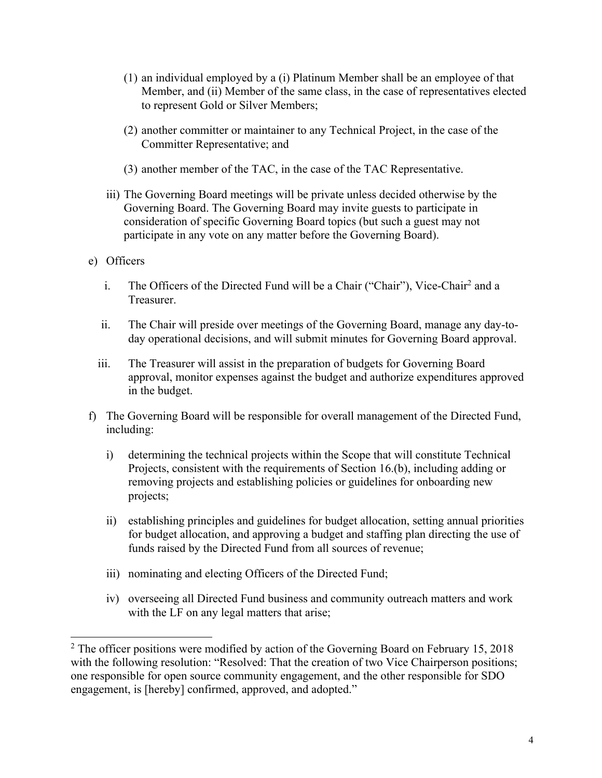- (1) an individual employed by a (i) Platinum Member shall be an employee of that Member, and (ii) Member of the same class, in the case of representatives elected to represent Gold or Silver Members;
- (2) another committer or maintainer to any Technical Project, in the case of the Committer Representative; and
- (3) another member of the TAC, in the case of the TAC Representative.
- iii) The Governing Board meetings will be private unless decided otherwise by the Governing Board. The Governing Board may invite guests to participate in consideration of specific Governing Board topics (but such a guest may not participate in any vote on any matter before the Governing Board).
- e) Officers
	- i. The Officers of the Directed Fund will be a Chair ("Chair"), Vice-Chair<sup>2</sup> and a Treasurer.
	- ii. The Chair will preside over meetings of the Governing Board, manage any day-today operational decisions, and will submit minutes for Governing Board approval.
	- iii. The Treasurer will assist in the preparation of budgets for Governing Board approval, monitor expenses against the budget and authorize expenditures approved in the budget.
- f) The Governing Board will be responsible for overall management of the Directed Fund, including:
	- i) determining the technical projects within the Scope that will constitute Technical Projects, consistent with the requirements of Section 16.(b), including adding or removing projects and establishing policies or guidelines for onboarding new projects;
	- ii) establishing principles and guidelines for budget allocation, setting annual priorities for budget allocation, and approving a budget and staffing plan directing the use of funds raised by the Directed Fund from all sources of revenue;
	- iii) nominating and electing Officers of the Directed Fund;
	- iv) overseeing all Directed Fund business and community outreach matters and work with the LF on any legal matters that arise;

<sup>&</sup>lt;sup>2</sup> The officer positions were modified by action of the Governing Board on February 15, 2018 with the following resolution: "Resolved: That the creation of two Vice Chairperson positions; one responsible for open source community engagement, and the other responsible for SDO engagement, is [hereby] confirmed, approved, and adopted."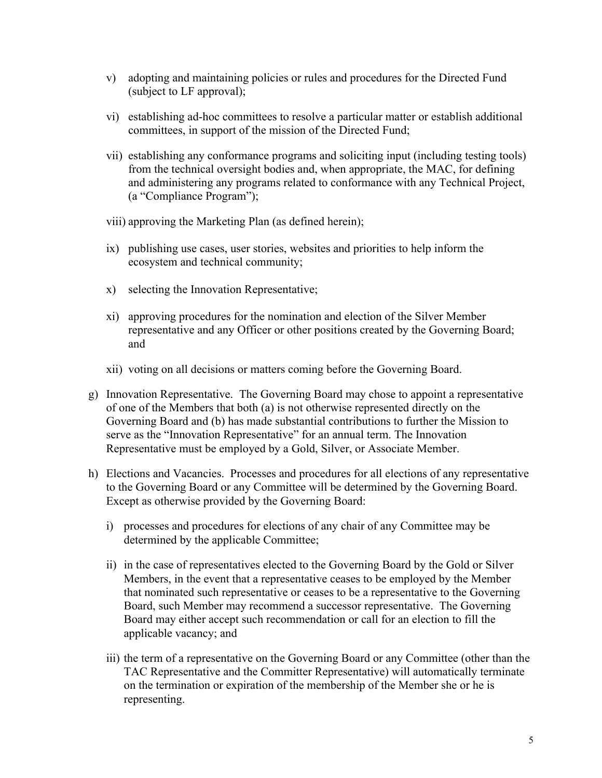- v) adopting and maintaining policies or rules and procedures for the Directed Fund (subject to LF approval);
- vi) establishing ad-hoc committees to resolve a particular matter or establish additional committees, in support of the mission of the Directed Fund;
- vii) establishing any conformance programs and soliciting input (including testing tools) from the technical oversight bodies and, when appropriate, the MAC, for defining and administering any programs related to conformance with any Technical Project, (a "Compliance Program");
- viii) approving the Marketing Plan (as defined herein);
- ix) publishing use cases, user stories, websites and priorities to help inform the ecosystem and technical community;
- x) selecting the Innovation Representative;
- xi) approving procedures for the nomination and election of the Silver Member representative and any Officer or other positions created by the Governing Board; and
- xii) voting on all decisions or matters coming before the Governing Board.
- g) Innovation Representative. The Governing Board may chose to appoint a representative of one of the Members that both (a) is not otherwise represented directly on the Governing Board and (b) has made substantial contributions to further the Mission to serve as the "Innovation Representative" for an annual term. The Innovation Representative must be employed by a Gold, Silver, or Associate Member.
- h) Elections and Vacancies. Processes and procedures for all elections of any representative to the Governing Board or any Committee will be determined by the Governing Board. Except as otherwise provided by the Governing Board:
	- i) processes and procedures for elections of any chair of any Committee may be determined by the applicable Committee;
	- ii) in the case of representatives elected to the Governing Board by the Gold or Silver Members, in the event that a representative ceases to be employed by the Member that nominated such representative or ceases to be a representative to the Governing Board, such Member may recommend a successor representative. The Governing Board may either accept such recommendation or call for an election to fill the applicable vacancy; and
	- iii) the term of a representative on the Governing Board or any Committee (other than the TAC Representative and the Committer Representative) will automatically terminate on the termination or expiration of the membership of the Member she or he is representing.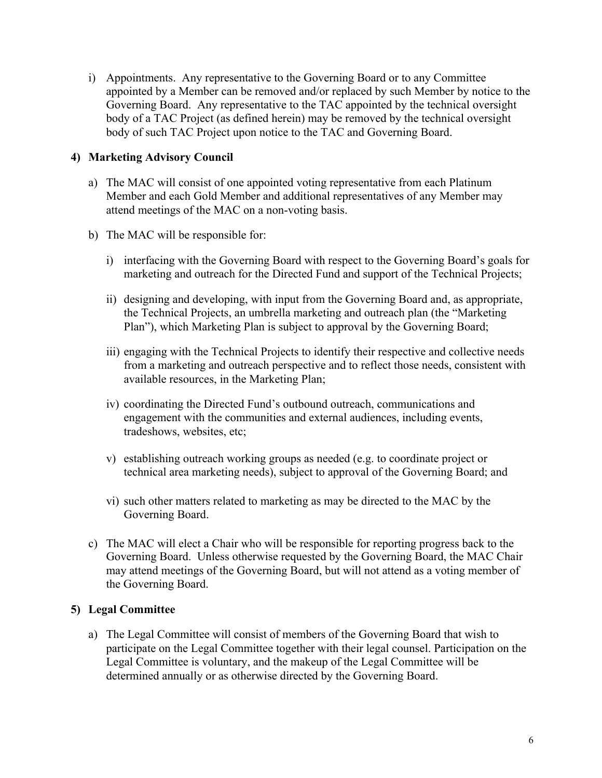i) Appointments. Any representative to the Governing Board or to any Committee appointed by a Member can be removed and/or replaced by such Member by notice to the Governing Board. Any representative to the TAC appointed by the technical oversight body of a TAC Project (as defined herein) may be removed by the technical oversight body of such TAC Project upon notice to the TAC and Governing Board.

### **4) Marketing Advisory Council**

- a) The MAC will consist of one appointed voting representative from each Platinum Member and each Gold Member and additional representatives of any Member may attend meetings of the MAC on a non-voting basis.
- b) The MAC will be responsible for:
	- i) interfacing with the Governing Board with respect to the Governing Board's goals for marketing and outreach for the Directed Fund and support of the Technical Projects;
	- ii) designing and developing, with input from the Governing Board and, as appropriate, the Technical Projects, an umbrella marketing and outreach plan (the "Marketing Plan"), which Marketing Plan is subject to approval by the Governing Board;
	- iii) engaging with the Technical Projects to identify their respective and collective needs from a marketing and outreach perspective and to reflect those needs, consistent with available resources, in the Marketing Plan;
	- iv) coordinating the Directed Fund's outbound outreach, communications and engagement with the communities and external audiences, including events, tradeshows, websites, etc;
	- v) establishing outreach working groups as needed (e.g. to coordinate project or technical area marketing needs), subject to approval of the Governing Board; and
	- vi) such other matters related to marketing as may be directed to the MAC by the Governing Board.
- c) The MAC will elect a Chair who will be responsible for reporting progress back to the Governing Board. Unless otherwise requested by the Governing Board, the MAC Chair may attend meetings of the Governing Board, but will not attend as a voting member of the Governing Board.

# **5) Legal Committee**

a) The Legal Committee will consist of members of the Governing Board that wish to participate on the Legal Committee together with their legal counsel. Participation on the Legal Committee is voluntary, and the makeup of the Legal Committee will be determined annually or as otherwise directed by the Governing Board.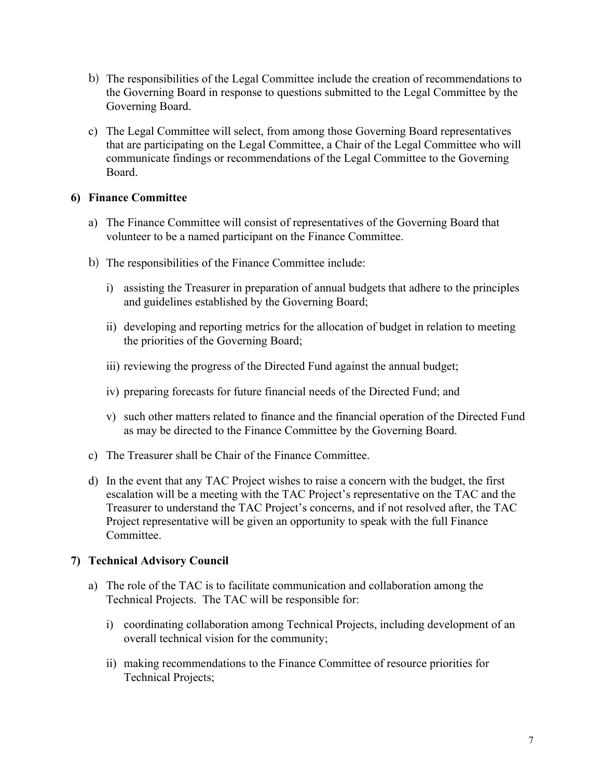- b) The responsibilities of the Legal Committee include the creation of recommendations to the Governing Board in response to questions submitted to the Legal Committee by the Governing Board.
- c) The Legal Committee will select, from among those Governing Board representatives that are participating on the Legal Committee, a Chair of the Legal Committee who will communicate findings or recommendations of the Legal Committee to the Governing Board.

#### **6) Finance Committee**

- a) The Finance Committee will consist of representatives of the Governing Board that volunteer to be a named participant on the Finance Committee.
- b) The responsibilities of the Finance Committee include:
	- i) assisting the Treasurer in preparation of annual budgets that adhere to the principles and guidelines established by the Governing Board;
	- ii) developing and reporting metrics for the allocation of budget in relation to meeting the priorities of the Governing Board;
	- iii) reviewing the progress of the Directed Fund against the annual budget;
	- iv) preparing forecasts for future financial needs of the Directed Fund; and
	- v) such other matters related to finance and the financial operation of the Directed Fund as may be directed to the Finance Committee by the Governing Board.
- c) The Treasurer shall be Chair of the Finance Committee.
- d) In the event that any TAC Project wishes to raise a concern with the budget, the first escalation will be a meeting with the TAC Project's representative on the TAC and the Treasurer to understand the TAC Project's concerns, and if not resolved after, the TAC Project representative will be given an opportunity to speak with the full Finance Committee.

### **7) Technical Advisory Council**

- a) The role of the TAC is to facilitate communication and collaboration among the Technical Projects. The TAC will be responsible for:
	- i) coordinating collaboration among Technical Projects, including development of an overall technical vision for the community;
	- ii) making recommendations to the Finance Committee of resource priorities for Technical Projects;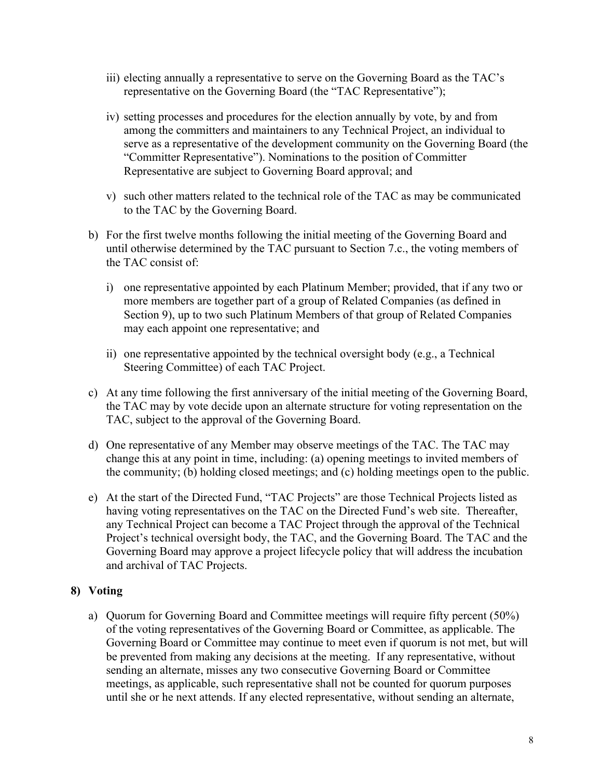- iii) electing annually a representative to serve on the Governing Board as the TAC's representative on the Governing Board (the "TAC Representative");
- iv) setting processes and procedures for the election annually by vote, by and from among the committers and maintainers to any Technical Project, an individual to serve as a representative of the development community on the Governing Board (the "Committer Representative"). Nominations to the position of Committer Representative are subject to Governing Board approval; and
- v) such other matters related to the technical role of the TAC as may be communicated to the TAC by the Governing Board.
- b) For the first twelve months following the initial meeting of the Governing Board and until otherwise determined by the TAC pursuant to Section 7.c., the voting members of the TAC consist of:
	- i) one representative appointed by each Platinum Member; provided, that if any two or more members are together part of a group of Related Companies (as defined in Section 9), up to two such Platinum Members of that group of Related Companies may each appoint one representative; and
	- ii) one representative appointed by the technical oversight body (e.g., a Technical Steering Committee) of each TAC Project.
- c) At any time following the first anniversary of the initial meeting of the Governing Board, the TAC may by vote decide upon an alternate structure for voting representation on the TAC, subject to the approval of the Governing Board.
- d) One representative of any Member may observe meetings of the TAC. The TAC may change this at any point in time, including: (a) opening meetings to invited members of the community; (b) holding closed meetings; and (c) holding meetings open to the public.
- e) At the start of the Directed Fund, "TAC Projects" are those Technical Projects listed as having voting representatives on the TAC on the Directed Fund's web site. Thereafter, any Technical Project can become a TAC Project through the approval of the Technical Project's technical oversight body, the TAC, and the Governing Board. The TAC and the Governing Board may approve a project lifecycle policy that will address the incubation and archival of TAC Projects.

### **8) Voting**

a) Quorum for Governing Board and Committee meetings will require fifty percent (50%) of the voting representatives of the Governing Board or Committee, as applicable. The Governing Board or Committee may continue to meet even if quorum is not met, but will be prevented from making any decisions at the meeting. If any representative, without sending an alternate, misses any two consecutive Governing Board or Committee meetings, as applicable, such representative shall not be counted for quorum purposes until she or he next attends. If any elected representative, without sending an alternate,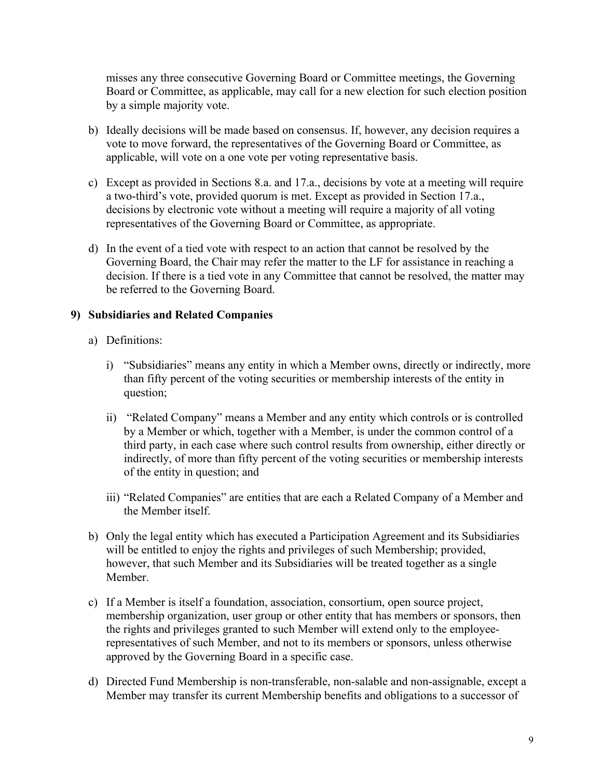misses any three consecutive Governing Board or Committee meetings, the Governing Board or Committee, as applicable, may call for a new election for such election position by a simple majority vote.

- b) Ideally decisions will be made based on consensus. If, however, any decision requires a vote to move forward, the representatives of the Governing Board or Committee, as applicable, will vote on a one vote per voting representative basis.
- c) Except as provided in Sections 8.a. and 17.a., decisions by vote at a meeting will require a two-third's vote, provided quorum is met. Except as provided in Section 17.a., decisions by electronic vote without a meeting will require a majority of all voting representatives of the Governing Board or Committee, as appropriate.
- d) In the event of a tied vote with respect to an action that cannot be resolved by the Governing Board, the Chair may refer the matter to the LF for assistance in reaching a decision. If there is a tied vote in any Committee that cannot be resolved, the matter may be referred to the Governing Board.

### **9) Subsidiaries and Related Companies**

- a) Definitions:
	- i) "Subsidiaries" means any entity in which a Member owns, directly or indirectly, more than fifty percent of the voting securities or membership interests of the entity in question;
	- ii) "Related Company" means a Member and any entity which controls or is controlled by a Member or which, together with a Member, is under the common control of a third party, in each case where such control results from ownership, either directly or indirectly, of more than fifty percent of the voting securities or membership interests of the entity in question; and
	- iii) "Related Companies" are entities that are each a Related Company of a Member and the Member itself.
- b) Only the legal entity which has executed a Participation Agreement and its Subsidiaries will be entitled to enjoy the rights and privileges of such Membership; provided, however, that such Member and its Subsidiaries will be treated together as a single Member.
- c) If a Member is itself a foundation, association, consortium, open source project, membership organization, user group or other entity that has members or sponsors, then the rights and privileges granted to such Member will extend only to the employeerepresentatives of such Member, and not to its members or sponsors, unless otherwise approved by the Governing Board in a specific case.
- d) Directed Fund Membership is non-transferable, non-salable and non-assignable, except a Member may transfer its current Membership benefits and obligations to a successor of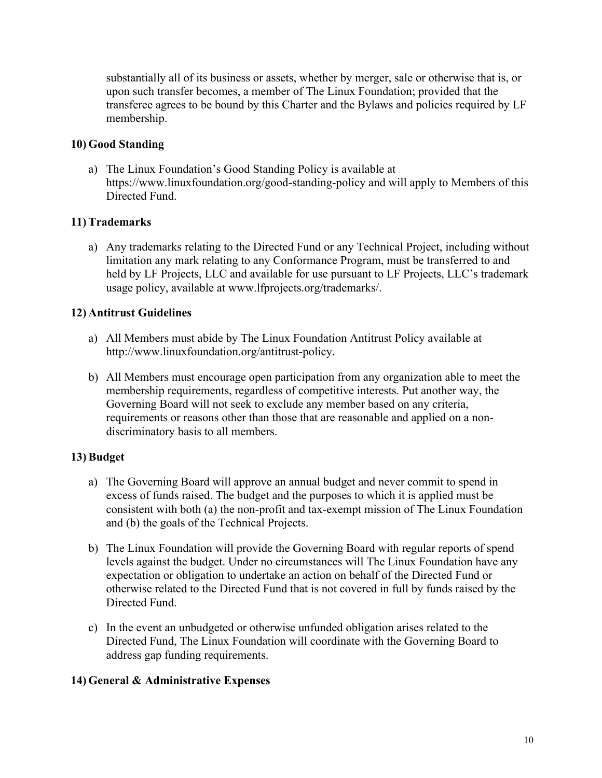substantially all of its business or assets, whether by merger, sale or otherwise that is, or upon such transfer becomes, a member of The Linux Foundation; provided that the transferee agrees to be bound by this Charter and the Bylaws and policies required by LF membership.

### **10) Good Standing**

a) The Linux Foundation's Good Standing Policy is available at https://www.linuxfoundation.org/good-standing-policy and will apply to Members of this Directed Fund.

### **11) Trademarks**

a) Any trademarks relating to the Directed Fund or any Technical Project, including without limitation any mark relating to any Conformance Program, must be transferred to and held by LF Projects, LLC and available for use pursuant to LF Projects, LLC's trademark usage policy, available at www.lfprojects.org/trademarks/.

### **12) Antitrust Guidelines**

- a) All Members must abide by The Linux Foundation Antitrust Policy available at http://www.linuxfoundation.org/antitrust-policy.
- b) All Members must encourage open participation from any organization able to meet the membership requirements, regardless of competitive interests. Put another way, the Governing Board will not seek to exclude any member based on any criteria, requirements or reasons other than those that are reasonable and applied on a nondiscriminatory basis to all members.

# **13) Budget**

- a) The Governing Board will approve an annual budget and never commit to spend in excess of funds raised. The budget and the purposes to which it is applied must be consistent with both (a) the non-profit and tax-exempt mission of The Linux Foundation and (b) the goals of the Technical Projects.
- b) The Linux Foundation will provide the Governing Board with regular reports of spend levels against the budget. Under no circumstances will The Linux Foundation have any expectation or obligation to undertake an action on behalf of the Directed Fund or otherwise related to the Directed Fund that is not covered in full by funds raised by the Directed Fund.
- c) In the event an unbudgeted or otherwise unfunded obligation arises related to the Directed Fund, The Linux Foundation will coordinate with the Governing Board to address gap funding requirements.

### **14) General & Administrative Expenses**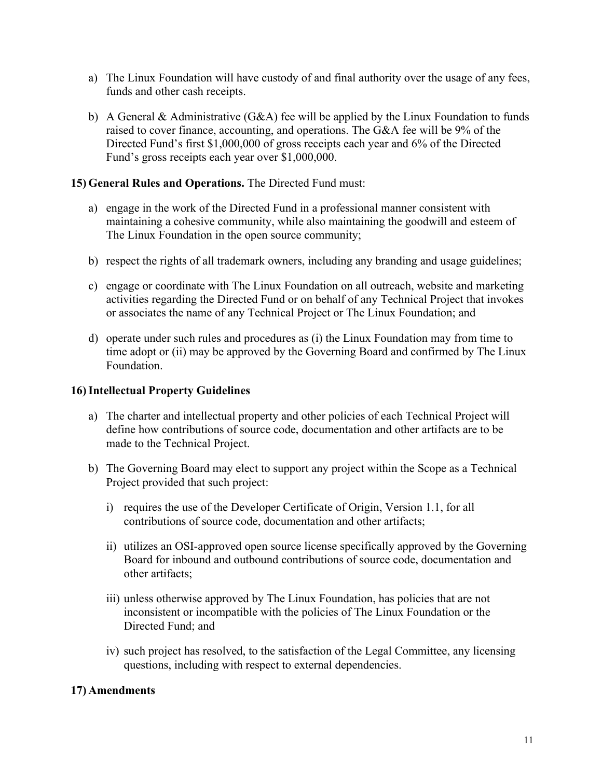- a) The Linux Foundation will have custody of and final authority over the usage of any fees, funds and other cash receipts.
- b) A General & Administrative  $(G\& A)$  fee will be applied by the Linux Foundation to funds raised to cover finance, accounting, and operations. The G&A fee will be 9% of the Directed Fund's first \$1,000,000 of gross receipts each year and 6% of the Directed Fund's gross receipts each year over \$1,000,000.

#### **15) General Rules and Operations.** The Directed Fund must:

- a) engage in the work of the Directed Fund in a professional manner consistent with maintaining a cohesive community, while also maintaining the goodwill and esteem of The Linux Foundation in the open source community;
- b) respect the rights of all trademark owners, including any branding and usage guidelines;
- c) engage or coordinate with The Linux Foundation on all outreach, website and marketing activities regarding the Directed Fund or on behalf of any Technical Project that invokes or associates the name of any Technical Project or The Linux Foundation; and
- d) operate under such rules and procedures as (i) the Linux Foundation may from time to time adopt or (ii) may be approved by the Governing Board and confirmed by The Linux Foundation.

### **16)Intellectual Property Guidelines**

- a) The charter and intellectual property and other policies of each Technical Project will define how contributions of source code, documentation and other artifacts are to be made to the Technical Project.
- b) The Governing Board may elect to support any project within the Scope as a Technical Project provided that such project:
	- i) requires the use of the Developer Certificate of Origin, Version 1.1, for all contributions of source code, documentation and other artifacts;
	- ii) utilizes an OSI-approved open source license specifically approved by the Governing Board for inbound and outbound contributions of source code, documentation and other artifacts;
	- iii) unless otherwise approved by The Linux Foundation, has policies that are not inconsistent or incompatible with the policies of The Linux Foundation or the Directed Fund; and
	- iv) such project has resolved, to the satisfaction of the Legal Committee, any licensing questions, including with respect to external dependencies.

### **17) Amendments**